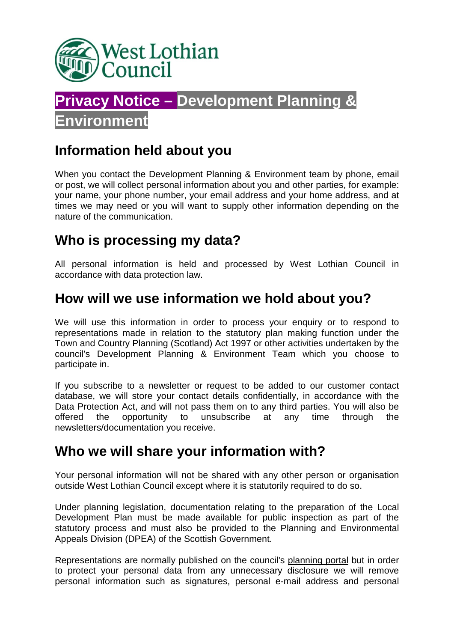



#### **Information held about you**

When you contact the Development Planning & Environment team by phone, email or post, we will collect personal information about you and other parties, for example: your name, your phone number, your email address and your home address, and at times we may need or you will want to supply other information depending on the nature of the communication.

## **Who is processing my data?**

All personal information is held and processed by West Lothian Council in accordance with data protection law.

#### **How will we use information we hold about you?**

We will use this information in order to process your enquiry or to respond to representations made in relation to the statutory plan making function under the Town and Country Planning (Scotland) Act 1997 or other activities undertaken by the council's Development Planning & Environment Team which you choose to participate in.

If you subscribe to a newsletter or request to be added to our customer contact database, we will store your contact details confidentially, in accordance with the Data Protection Act, and will not pass them on to any third parties. You will also be offered the opportunity to unsubscribe at any time through the newsletters/documentation you receive.

#### **Who we will share your information with?**

Your personal information will not be shared with any other person or organisation outside West Lothian Council except where it is statutorily required to do so.

Under planning legislation, documentation relating to the preparation of the Local Development Plan must be made available for public inspection as part of the statutory process and must also be provided to the Planning and Environmental Appeals Division (DPEA) of the Scottish Government.

Representations are normally published on the council's planning portal but in order to protect your personal data from any unnecessary disclosure we will remove personal information such as signatures, personal e-mail address and personal